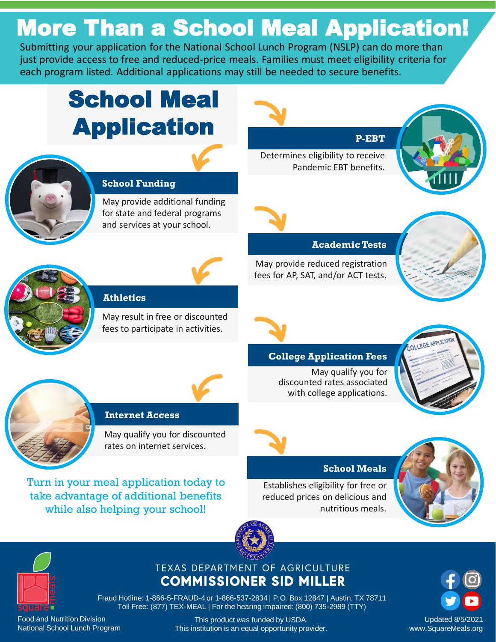# More Than a School Meal Application!

Submitting your application for the National School Lunch Program (NSLP) can do more than just provide access to free and reduced-price meals. Families must meet eligibility criteria for each program listed. Additional applications may still be needed to secure benefits.

# School Meal **Application P-EBT**



### **School Funding**

May provide additional funding for state and federal programs and services at your school.





**Athletics**

May result in free or discounted fees to participate in activities.

Determines eligibility to receive Pandemic EBT benefits.





May provide reduced registration fees for AP, SAT, and/or ACT tests.



### **College Application Fees**

May qualify you for discounted rates associated with college applications.





### **Internet Access**

May qualify you for discounted rates on internet services.

Turn in your meal application today to take advantage of additional benefits while also helpin[g your school!](https://www.texasagriculture.gov/)

### **School Meals**

Establishes eligibility for free or reduced prices on delicious and nutritious meals.





### TEXAS DEPARTMENT OF AGRICULTURE **COMMISSIONER SID MILLER**

Fraud Hotline: 1-866-5-FRAUD-4 or 1-866-537-2834 | P.O. Box 12847 | Austin, TX 78711 Toll Free: (877) TEX-MEAL | For the hearing impaired: (800) 735-2989 (TTY)

Food and Nutrition Division National School Lunch Program

This product was funded by USDA. [This institution is an equal opportunity provider.](https://www.fns.usda.gov/cr/fns-nondiscrimination-statement)



Updated 8/5/2021 www.SquareMeals.org